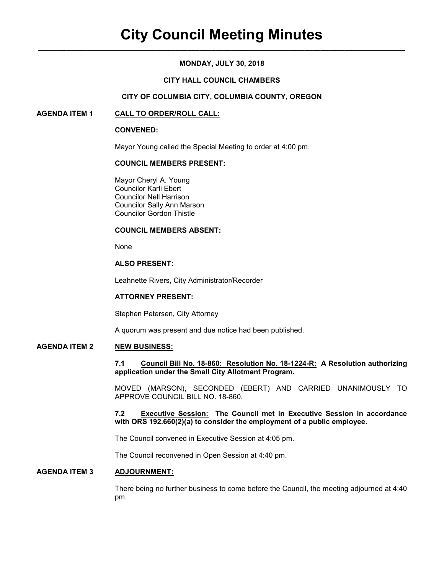# **MONDAY, JULY 30, 2018**

# **CITY HALL COUNCIL CHAMBERS**

### **CITY OF COLUMBIA CITY, COLUMBIA COUNTY, OREGON**

### **AGENDA ITEM 1 CALL TO ORDER/ROLL CALL:**

#### **CONVENED:**

Mayor Young called the Special Meeting to order at 4:00 pm.

### **COUNCIL MEMBERS PRESENT:**

 Mayor Cheryl A. Young Councilor Karli Ebert Councilor Nell Harrison Councilor Sally Ann Marson Councilor Gordon Thistle

### **COUNCIL MEMBERS ABSENT:**

None

# **ALSO PRESENT:**

Leahnette Rivers, City Administrator/Recorder

#### **ATTORNEY PRESENT:**

Stephen Petersen, City Attorney

A quorum was present and due notice had been published.

# **AGENDA ITEM 2 NEW BUSINESS:**

**7.1 Council Bill No. 18-860: Resolution No. 18-1224-R: A Resolution authorizing application under the Small City Allotment Program.**

MOVED (MARSON), SECONDED (EBERT) AND CARRIED UNANIMOUSLY TO APPROVE COUNCIL BILL NO. 18-860.

**7.2 Executive Session: The Council met in Executive Session in accordance with ORS 192.660(2)(a) to consider the employment of a public employee.** 

The Council convened in Executive Session at 4:05 pm.

The Council reconvened in Open Session at 4:40 pm.

# **AGENDA ITEM 3 ADJOURNMENT:**

There being no further business to come before the Council, the meeting adjourned at 4:40 pm.